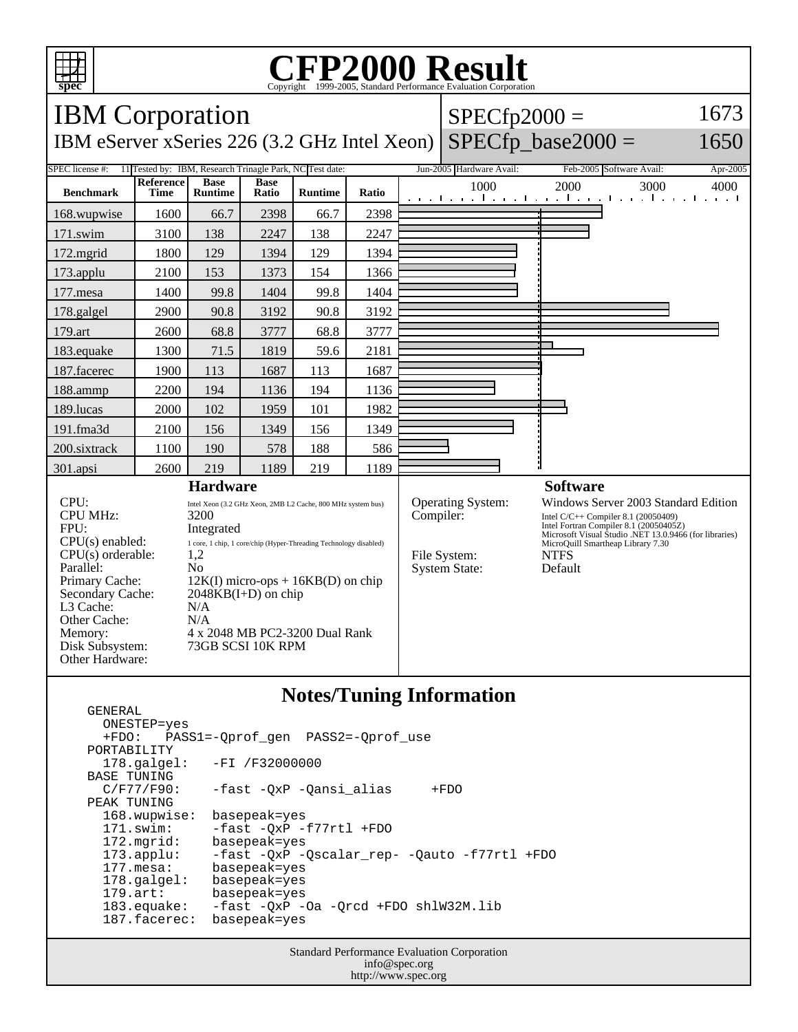

GENERAL

## C<sub>opyright</sub> ©1999-2005, Standard Performance Evaluation Corporation

| <b>IBM</b> Corporation                                                                                                                                                                                                                                                  |                   |                               |                                            |                                                                                                                                                                                                              |       |                 | $SPECfp2000 =$                                            |                                                                                                                                                                                                                                                  | 1673     |
|-------------------------------------------------------------------------------------------------------------------------------------------------------------------------------------------------------------------------------------------------------------------------|-------------------|-------------------------------|--------------------------------------------|--------------------------------------------------------------------------------------------------------------------------------------------------------------------------------------------------------------|-------|-----------------|-----------------------------------------------------------|--------------------------------------------------------------------------------------------------------------------------------------------------------------------------------------------------------------------------------------------------|----------|
| IBM eServer xSeries 226 (3.2 GHz Intel Xeon)                                                                                                                                                                                                                            |                   |                               |                                            |                                                                                                                                                                                                              |       |                 |                                                           | $SPECfp\_base2000 =$                                                                                                                                                                                                                             | 1650     |
| 11 Tested by: IBM, Research Trinagle Park, NC Test date:<br>SPEC license #:                                                                                                                                                                                             |                   |                               |                                            |                                                                                                                                                                                                              |       |                 | Jun-2005 Hardware Avail:                                  | Feb-2005 Software Avail:                                                                                                                                                                                                                         | Apr-2005 |
| <b>Benchmark</b>                                                                                                                                                                                                                                                        | Reference<br>Time | <b>Base</b><br><b>Runtime</b> | <b>Base</b><br>Ratio                       | Runtime                                                                                                                                                                                                      | Ratio |                 | 1000                                                      | 2000<br>3000<br>المتعبد المتعبد المتعبد المتعبد المتعبد المتعبد المتعبدات                                                                                                                                                                        | 4000     |
| 168.wupwise                                                                                                                                                                                                                                                             | 1600              | 66.7                          | 2398                                       | 66.7                                                                                                                                                                                                         | 2398  |                 |                                                           |                                                                                                                                                                                                                                                  |          |
| 171.swim                                                                                                                                                                                                                                                                | 3100              | 138                           | 2247                                       | 138                                                                                                                                                                                                          | 2247  |                 |                                                           |                                                                                                                                                                                                                                                  |          |
| $172$ .mgrid                                                                                                                                                                                                                                                            | 1800              | 129                           | 1394                                       | 129                                                                                                                                                                                                          | 1394  |                 |                                                           |                                                                                                                                                                                                                                                  |          |
| 173.applu                                                                                                                                                                                                                                                               | 2100              | 153                           | 1373                                       | 154                                                                                                                                                                                                          | 1366  |                 |                                                           |                                                                                                                                                                                                                                                  |          |
| 177.mesa                                                                                                                                                                                                                                                                | 1400              | 99.8                          | 1404                                       | 99.8                                                                                                                                                                                                         | 1404  |                 |                                                           |                                                                                                                                                                                                                                                  |          |
| 178.galgel                                                                                                                                                                                                                                                              | 2900              | 90.8                          | 3192                                       | 90.8                                                                                                                                                                                                         | 3192  |                 |                                                           |                                                                                                                                                                                                                                                  |          |
| 179.art                                                                                                                                                                                                                                                                 | 2600              | 68.8                          | 3777                                       | 68.8                                                                                                                                                                                                         | 3777  |                 |                                                           |                                                                                                                                                                                                                                                  |          |
| 183.equake                                                                                                                                                                                                                                                              | 1300              | 71.5                          | 1819                                       | 59.6                                                                                                                                                                                                         | 2181  |                 |                                                           |                                                                                                                                                                                                                                                  |          |
| 187.facerec                                                                                                                                                                                                                                                             | 1900              | 113                           | 1687                                       | 113                                                                                                                                                                                                          | 1687  |                 |                                                           |                                                                                                                                                                                                                                                  |          |
| 188.ammp                                                                                                                                                                                                                                                                | 2200              | 194                           | 1136                                       | 194                                                                                                                                                                                                          | 1136  |                 |                                                           |                                                                                                                                                                                                                                                  |          |
| 189.lucas                                                                                                                                                                                                                                                               | 2000              | 102                           | 1959                                       | 101                                                                                                                                                                                                          | 1982  |                 |                                                           |                                                                                                                                                                                                                                                  |          |
| 191.fma3d                                                                                                                                                                                                                                                               | 2100              | 156                           | 1349                                       | 156                                                                                                                                                                                                          | 1349  |                 |                                                           |                                                                                                                                                                                                                                                  |          |
| 200.sixtrack                                                                                                                                                                                                                                                            | 1100              | 190                           | 578                                        | 188                                                                                                                                                                                                          | 586   |                 |                                                           |                                                                                                                                                                                                                                                  |          |
| 301.apsi                                                                                                                                                                                                                                                                | 2600              | 219                           | 1189                                       | 219                                                                                                                                                                                                          | 1189  |                 |                                                           |                                                                                                                                                                                                                                                  |          |
| <b>Hardware</b>                                                                                                                                                                                                                                                         |                   |                               |                                            |                                                                                                                                                                                                              |       | <b>Software</b> |                                                           |                                                                                                                                                                                                                                                  |          |
| CPU:<br><b>CPU MHz:</b><br>3200<br>FPU:<br>Integrated<br>$CPU(s)$ enabled:<br>CPU(s) orderable:<br>1,2<br>Parallel:<br>N <sub>0</sub><br>Primary Cache:<br>Secondary Cache:<br>L3 Cache:<br>N/A<br>Other Cache:<br>N/A<br>Memory:<br>Disk Subsystem:<br>Other Hardware: |                   |                               | $2048KB(I+D)$ on chip<br>73GB SCSI 10K RPM | Intel Xeon (3.2 GHz Xeon, 2MB L2 Cache, 800 MHz system bus)<br>1 core, 1 chip, 1 core/chip (Hyper-Threading Technology disabled)<br>$12K(I)$ micro-ops + $16KB(D)$ on chip<br>4 x 2048 MB PC2-3200 Dual Rank |       | Compiler:       | Operating System:<br>File System:<br><b>System State:</b> | Windows Server 2003 Standard Edition<br>Intel $C/C++$ Compiler 8.1 (20050409)<br>Intel Fortran Compiler 8.1 (20050405Z)<br>Microsoft Visual Studio .NET 13.0.9466 (for libraries)<br>MicroQuill Smartheap Library 7.30<br><b>NTFS</b><br>Default |          |

## **Notes/Tuning Information**

 ONESTEP=yes +FDO: PASS1=-Qprof\_gen PASS2=-Qprof\_use PORTABILITY<br>178.qalqel: -FI /F32000000 BASE TUNING<br>C/F77/F90: -fast -QxP -Qansi\_alias +FDO PEAK TUNING 168.wupwise: basepeak=yes 171.swim: -fast -QxP -f77rtl +FDO<br>172.mgrid: basepeak=yes 172.mgrid: basepeak=yes<br>173.applu: -fast -QxP - 173.applu: -fast -QxP -Qscalar\_rep- -Qauto -f77rtl +FDO basepeak=yes<br>basepeak=yes 178.galgel:<br>179.art: basepeak=yes 183.equake: -fast -QxP -Oa -Qrcd +FDO shlW32M.lib<br>187.facerec: basepeak=yes 187.facerec:

> Standard Performance Evaluation Corporation info@spec.org http://www.spec.org